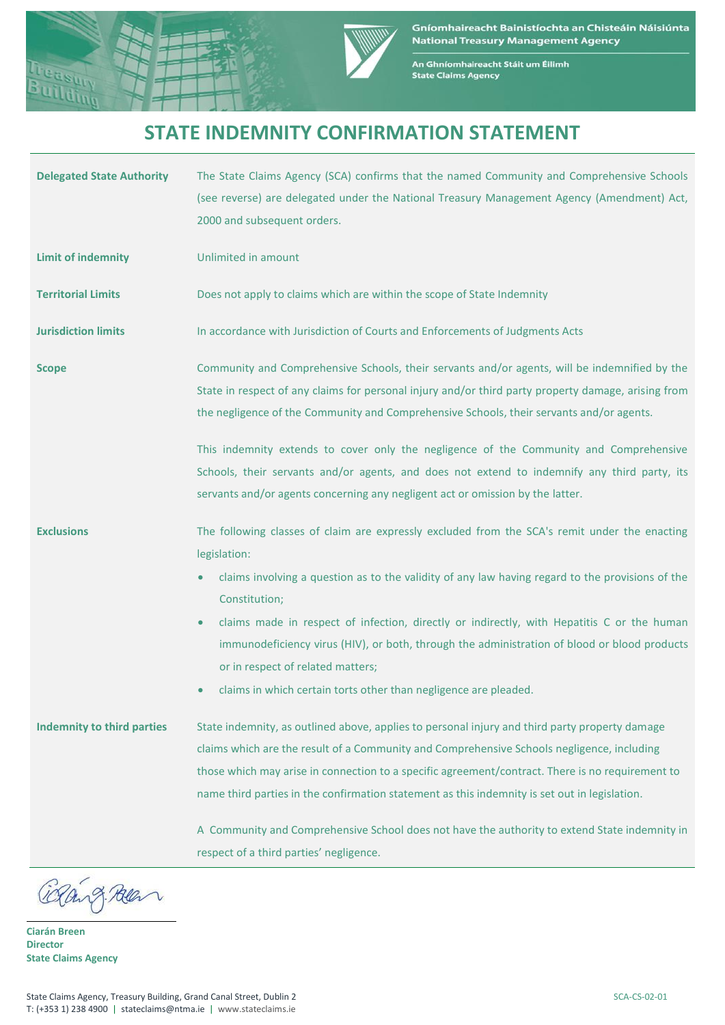



An Ghníomhaireacht Stáit um Éilimh<br>State Claims Agency

## **STATE INDEMNITY CONFIRMATION STATEMENT**

| <b>Delegated State Authority</b>  | The State Claims Agency (SCA) confirms that the named Community and Comprehensive Schools<br>(see reverse) are delegated under the National Treasury Management Agency (Amendment) Act,<br>2000 and subsequent orders.                                                                                                                                                                                                                                                                     |  |  |
|-----------------------------------|--------------------------------------------------------------------------------------------------------------------------------------------------------------------------------------------------------------------------------------------------------------------------------------------------------------------------------------------------------------------------------------------------------------------------------------------------------------------------------------------|--|--|
| <b>Limit of indemnity</b>         | Unlimited in amount                                                                                                                                                                                                                                                                                                                                                                                                                                                                        |  |  |
| <b>Territorial Limits</b>         | Does not apply to claims which are within the scope of State Indemnity                                                                                                                                                                                                                                                                                                                                                                                                                     |  |  |
| <b>Jurisdiction limits</b>        | In accordance with Jurisdiction of Courts and Enforcements of Judgments Acts                                                                                                                                                                                                                                                                                                                                                                                                               |  |  |
| <b>Scope</b>                      | Community and Comprehensive Schools, their servants and/or agents, will be indemnified by the<br>State in respect of any claims for personal injury and/or third party property damage, arising from<br>the negligence of the Community and Comprehensive Schools, their servants and/or agents.<br>This indemnity extends to cover only the negligence of the Community and Comprehensive<br>Schools, their servants and/or agents, and does not extend to indemnify any third party, its |  |  |
|                                   | servants and/or agents concerning any negligent act or omission by the latter.                                                                                                                                                                                                                                                                                                                                                                                                             |  |  |
| <b>Exclusions</b>                 | The following classes of claim are expressly excluded from the SCA's remit under the enacting<br>legislation:<br>claims involving a question as to the validity of any law having regard to the provisions of the<br>Constitution;<br>claims made in respect of infection, directly or indirectly, with Hepatitis C or the human<br>$\bullet$                                                                                                                                              |  |  |
|                                   | immunodeficiency virus (HIV), or both, through the administration of blood or blood products<br>or in respect of related matters;<br>claims in which certain torts other than negligence are pleaded.<br>$\bullet$                                                                                                                                                                                                                                                                         |  |  |
| <b>Indemnity to third parties</b> | State indemnity, as outlined above, applies to personal injury and third party property damage<br>claims which are the result of a Community and Comprehensive Schools negligence, including<br>those which may arise in connection to a specific agreement/contract. There is no requirement to<br>name third parties in the confirmation statement as this indemnity is set out in legislation.                                                                                          |  |  |
|                                   | A Community and Comprehensive School does not have the authority to extend State indemnity in<br>respect of a third parties' negligence.                                                                                                                                                                                                                                                                                                                                                   |  |  |

9. Reen

**Ciarán Breen Director State Claims Agency**